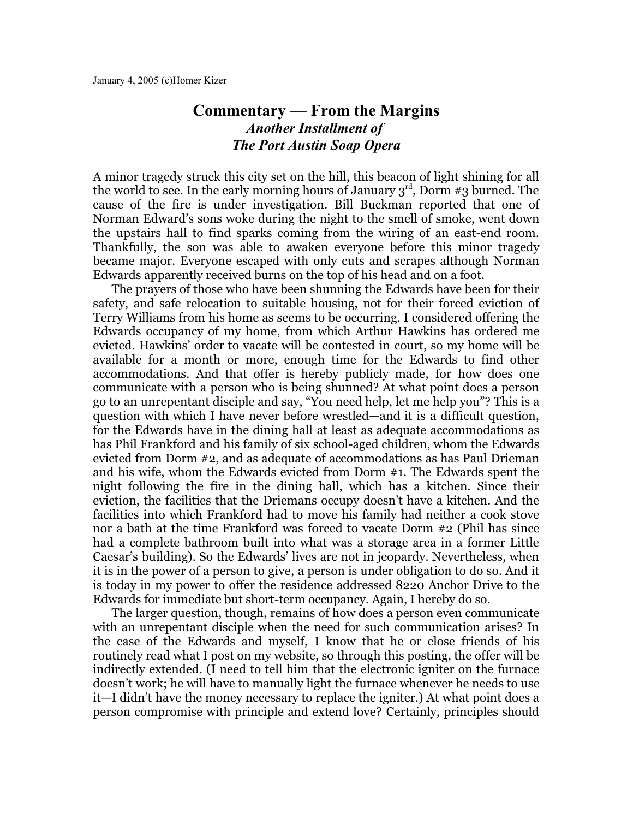## **Commentary — From the Margins** *Another Installment of The Port Austin Soap Opera*

A minor tragedy struck this city set on the hill, this beacon of light shining for all the world to see. In the early morning hours of January  $\boldsymbol{\mathrm{3}}^{\text{rd}}$ , Dorm #3 burned. The cause of the fire is under investigation. Bill Buckman reported that one of Norman Edward's sons woke during the night to the smell of smoke, went down the upstairs hall to find sparks coming from the wiring of an east-end room. Thankfully, the son was able to awaken everyone before this minor tragedy became major. Everyone escaped with only cuts and scrapes although Norman Edwards apparently received burns on the top of his head and on a foot.

The prayers of those who have been shunning the Edwards have been for their safety, and safe relocation to suitable housing, not for their forced eviction of Terry Williams from his home as seems to be occurring. I considered offering the Edwards occupancy of my home, from which Arthur Hawkins has ordered me evicted. Hawkins' order to vacate will be contested in court, so my home will be available for a month or more, enough time for the Edwards to find other accommodations. And that offer is hereby publicly made, for how does one communicate with a person who is being shunned? At what point does a person go to an unrepentant disciple and say, "You need help, let me help you"? This is a question with which I have never before wrestled—and it is a difficult question, for the Edwards have in the dining hall at least as adequate accommodations as has Phil Frankford and his family of six school-aged children, whom the Edwards evicted from Dorm #2, and as adequate of accommodations as has Paul Drieman and his wife, whom the Edwards evicted from Dorm #1. The Edwards spent the night following the fire in the dining hall, which has a kitchen. Since their eviction, the facilities that the Driemans occupy doesn't have a kitchen. And the facilities into which Frankford had to move his family had neither a cook stove nor a bath at the time Frankford was forced to vacate Dorm #2 (Phil has since had a complete bathroom built into what was a storage area in a former Little Caesar's building). So the Edwards' lives are not in jeopardy. Nevertheless, when it is in the power of a person to give, a person is under obligation to do so. And it is today in my power to offer the residence addressed 8220 Anchor Drive to the Edwards for immediate but short-term occupancy. Again, I hereby do so.

The larger question, though, remains of how does a person even communicate with an unrepentant disciple when the need for such communication arises? In the case of the Edwards and myself, I know that he or close friends of his routinely read what I post on my website, so through this posting, the offer will be indirectly extended. (I need to tell him that the electronic igniter on the furnace doesn't work; he will have to manually light the furnace whenever he needs to use it—I didn't have the money necessary to replace the igniter.) At what point does a person compromise with principle and extend love? Certainly, principles should